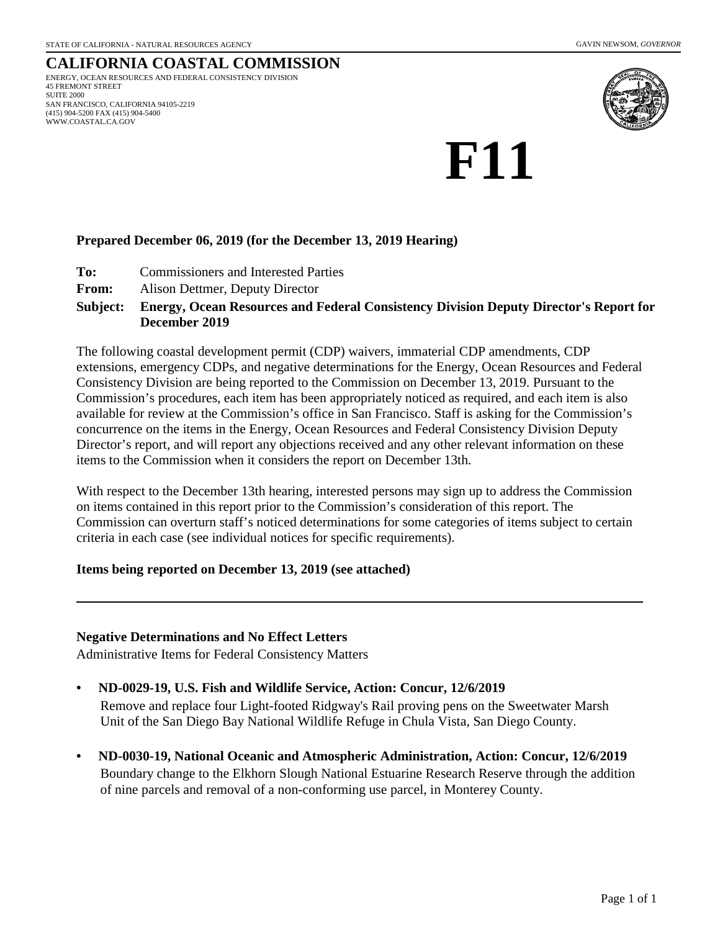#### **CALIFORNIA COASTAL COMMISSION** ENERGY, OCEAN RESOURCES AND FEDERAL CONSISTENCY DIVISION 45 FREMONT STREET SUITE 2000 SAN FRANCISCO, CALIFORNIA 94105-2219 (415) 904-5200 FAX (415) 904-5400 WWW.COASTAL.CA.GOV



# **F11**

## **Prepared December 06, 2019 (for the December 13, 2019 Hearing)**

- **To:** Commissioners and Interested Parties
- **From:** Alison Dettmer, Deputy Director

#### **Energy, Ocean Resources and Federal Consistency Division Deputy Director's Report for December 2019 Subject:**

The following coastal development permit (CDP) waivers, immaterial CDP amendments, CDP extensions, emergency CDPs, and negative determinations for the Energy, Ocean Resources and Federal Consistency Division are being reported to the Commission on December 13, 2019. Pursuant to the Commission's procedures, each item has been appropriately noticed as required, and each item is also available for review at the Commission's office in San Francisco. Staff is asking for the Commission's concurrence on the items in the Energy, Ocean Resources and Federal Consistency Division Deputy Director's report, and will report any objections received and any other relevant information on these items to the Commission when it considers the report on December 13th.

With respect to the December 13th hearing, interested persons may sign up to address the Commission on items contained in this report prior to the Commission's consideration of this report. The Commission can overturn staff's noticed determinations for some categories of items subject to certain criteria in each case (see individual notices for specific requirements).

## **Items being reported on December 13, 2019 (see attached)**

## **Negative Determinations and No Effect Letters**

Administrative Items for Federal Consistency Matters

## **• ND-0029-19, U.S. Fish and Wildlife Service, Action: Concur, 12/6/2019**

Remove and replace four Light-footed Ridgway's Rail proving pens on the Sweetwater Marsh Unit of the San Diego Bay National Wildlife Refuge in Chula Vista, San Diego County.

**• ND-0030-19, National Oceanic and Atmospheric Administration, Action: Concur, 12/6/2019** Boundary change to the Elkhorn Slough National Estuarine Research Reserve through the addition of nine parcels and removal of a non-conforming use parcel, in Monterey County.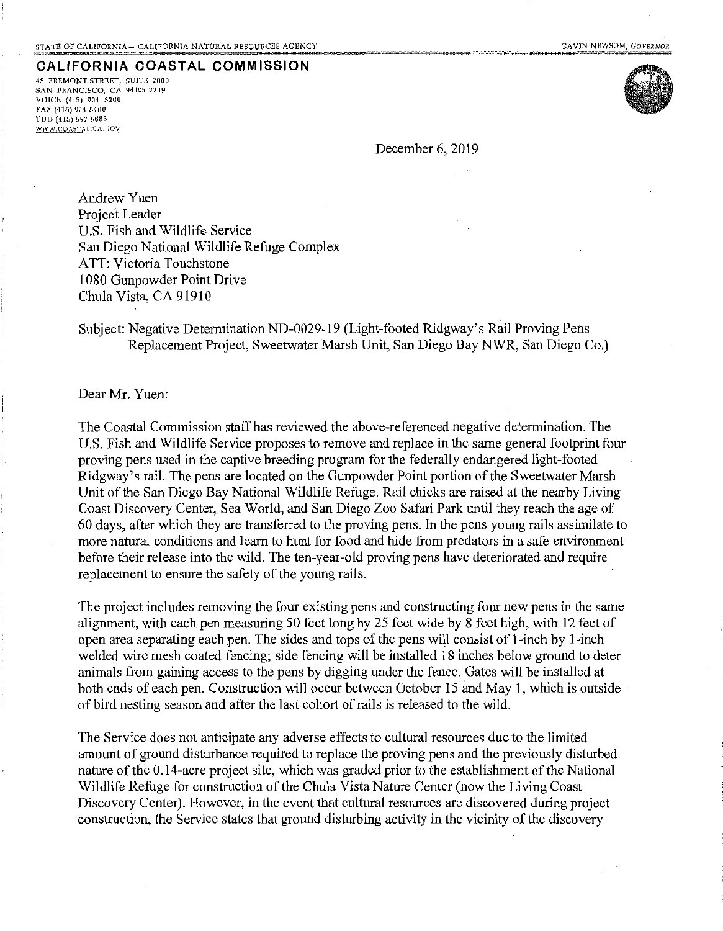#### **CALIFORNIA COASTAL COMMISSION**

45 FREMONT STREET, SUITE 2000 SAN FRANCISCO, CA 94105-2219 VOICE (415) 904-5200  $FAX (415) 904 - 5400$ TDD (415) 597-5885 WWW.COASTAL.CA.GOV



December 6, 2019

AndrewYuen Project Leader U.S. Fish and Wildlife Service San Diego National Wildlife Refuge Complex ATT: Victoria Touchstone 1080 Gunpowder Point Drive Chula Vista, CA 91910

Subject: Negative Determination ND-0029-19 (Light-footed Ridgway's Rail Proving Pens Replacement Project, Sweetwater Marsh Unit, San Diego Bay NWR, San Diego Co.)

Dear Mr. Yuen:

The Coastal Commission staff has reviewed the above-referenced negative determination. The U.S. Fish and Wildlife Service proposes to remove and replace in the same general footprint four proving pens used in the captive breeding program for the federally endangered light-footed Ridgway's rail. The pens are located on the Gunpowder Point portion of the Sweetwater Marsh Unit of the San Diego Bay National Wildlife Refuge. Rail chicks are raised at the nearby Living Coast Discovery Center, Sea World, and San Diego Zoo Safari Park until they reach the age of 60 days, after which they are transferred to the proving pens. In the pens young rails assimilate to more natural conditions and learn to hunt for food and hide from predators in a safe environment before their release into the wild. The ten-year-old proving pens have deteriorated and require replacement to ensure the safety of the young rails.

The project includes removing the four existing pens and constructing four new pens in the same alignment, with each pen measuring 50 feet long by 25 feet wide by 8 feet high, with 12 feet of open area separating each pen. The sides and tops of the pens will consist of l-inch by l-inch welded wire mesh coated fencing; side fencing will be installed 18 inches below ground to deter animals from gaining access to the pens by digging under the fence. Gates will be installed at both ends of each pen. Construction will occur between October 15 and May 1, which is outside of bird nesting season and after the last cohort of rails is released to the wild.

The Service does not anticipate any adverse effects to cultural resources due to the limited amount of ground disturbance required to replace the proving pens and the previously disturbed nature of the 0.14-acre project site, which was graded prior to the establishment of the National Wildlife Refuge for construction of the Chula Vista Nature Center (now the Living Coast Discovery Center). However, in the event that cultural resources are discovered during project construction, the Service states that ground disturbing activity in the vicinity of the discovery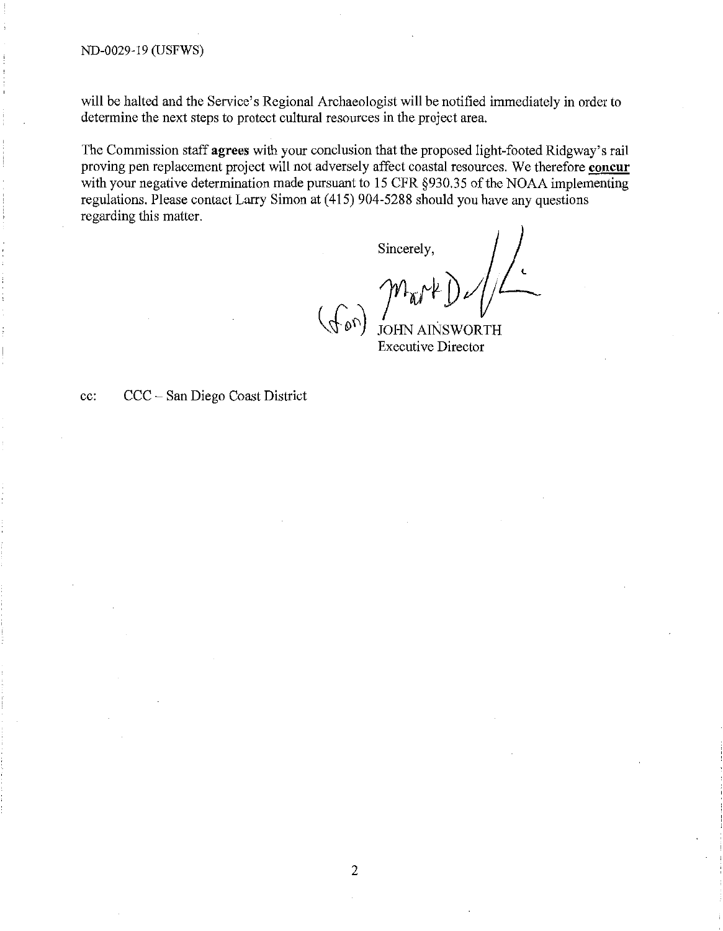will be halted and the Service's Regional Archaeologist will be notified immediately in order to determine the next steps to protect cultural resources in the project area.

The Commission staff **agrees** with your conclusion that the proposed light-footed Ridgway's rail proving pen replacement project will not adversely affect coastal resources. We therefore **concur**  with your negative determination made pursuant to 15 CFR §930.35 of the NOAA implementing regulations. Please contact Larry Simon at ( 415) 904-5288 should you have any questions regarding this matter.

Sincerely, WORTH

Executive Director

cc: CCC- San Diego Coast District